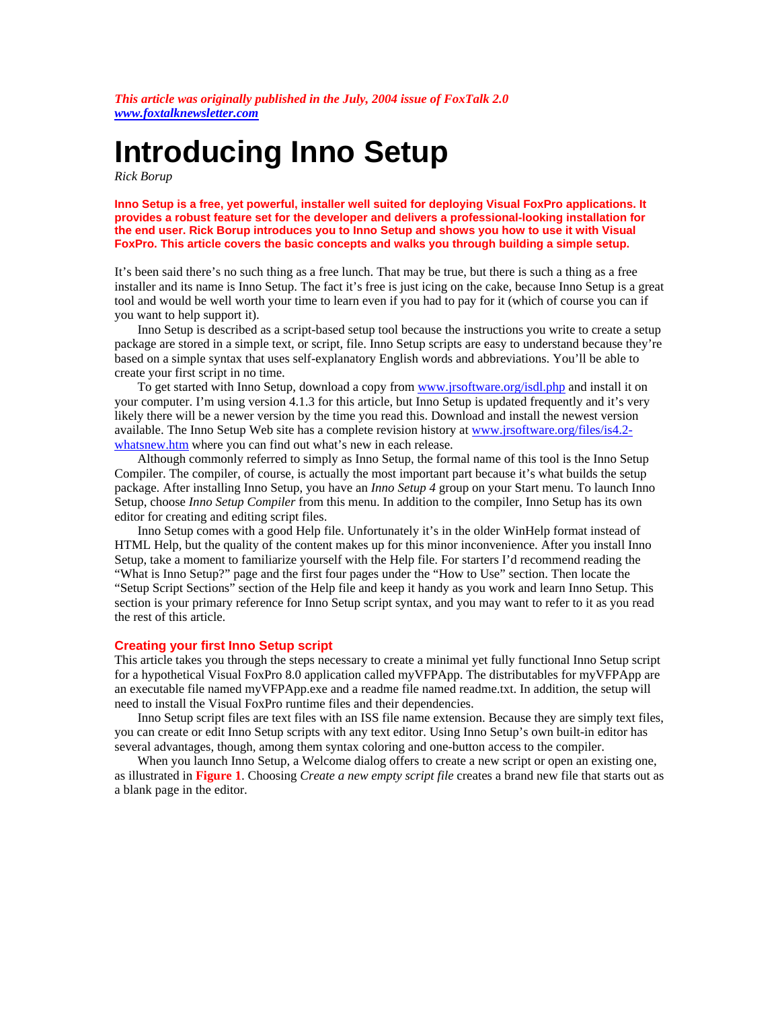*This article was originally published in the July, 2004 issue of FoxTalk 2.0 <www.foxtalknewsletter.com>*

# **Introducing Inno Setup**

*Rick Borup*

**Inno Setup is a free, yet powerful, installer well suited for deploying Visual FoxPro applications. It provides a robust feature set for the developer and delivers a professional-looking installation for the end user. Rick Borup introduces you to Inno Setup and shows you how to use it with Visual FoxPro. This article covers the basic concepts and walks you through building a simple setup.**

It's been said there's no such thing as a free lunch. That may be true, but there is such a thing as a free installer and its name is Inno Setup. The fact it's free is just icing on the cake, because Inno Setup is a great tool and would be well worth your time to learn even if you had to pay for it (which of course you can if you want to help support it).

Inno Setup is described as a script-based setup tool because the instructions you write to create a setup package are stored in a simple text, or script, file. Inno Setup scripts are easy to understand because they're based on a simple syntax that uses self-explanatory English words and abbreviations. You'll be able to create your first script in no time.

To get started with Inno Setup, download a copy from <www.jrsoftware.org/isdl.php> and install it on your computer. I'm using version 4.1.3 for this article, but Inno Setup is updated frequently and it's very likely there will be a newer version by the time you read this. Download and install the newest version available. The Inno Setup Web site has a complete revision history at<www.jrsoftware.org/files/is4.2> whatsnew.htm where you can find out what's new in each release.

Although commonly referred to simply as Inno Setup, the formal name of this tool is the Inno Setup Compiler. The compiler, of course, is actually the most important part because it's what builds the setup package. After installing Inno Setup, you have an *Inno Setup 4* group on your Start menu. To launch Inno Setup, choose *Inno Setup Compiler* from this menu. In addition to the compiler, Inno Setup has its own editor for creating and editing script files.

Inno Setup comes with a good Help file. Unfortunately it's in the older WinHelp format instead of HTML Help, but the quality of the content makes up for this minor inconvenience. After you install Inno Setup, take a moment to familiarize yourself with the Help file. For starters I'd recommend reading the "What is Inno Setup?" page and the first four pages under the "How to Use" section. Then locate the "Setup Script Sections" section of the Help file and keep it handy as you work and learn Inno Setup. This section is your primary reference for Inno Setup script syntax, and you may want to refer to it as you read the rest of this article.

## **Creating your first Inno Setup script**

This article takes you through the steps necessary to create a minimal yet fully functional Inno Setup script for a hypothetical Visual FoxPro 8.0 application called myVFPApp. The distributables for myVFPApp are an executable file named myVFPApp.exe and a readme file named readme.txt. In addition, the setup will need to install the Visual FoxPro runtime files and their dependencies.

Inno Setup script files are text files with an ISS file name extension. Because they are simply text files, you can create or edit Inno Setup scripts with any text editor. Using Inno Setup's own built-in editor has several advantages, though, among them syntax coloring and one-button access to the compiler.

When you launch Inno Setup, a Welcome dialog offers to create a new script or open an existing one, as illustrated in **Figure 1**. Choosing *Create a new empty script file* creates a brand new file that starts out as a blank page in the editor.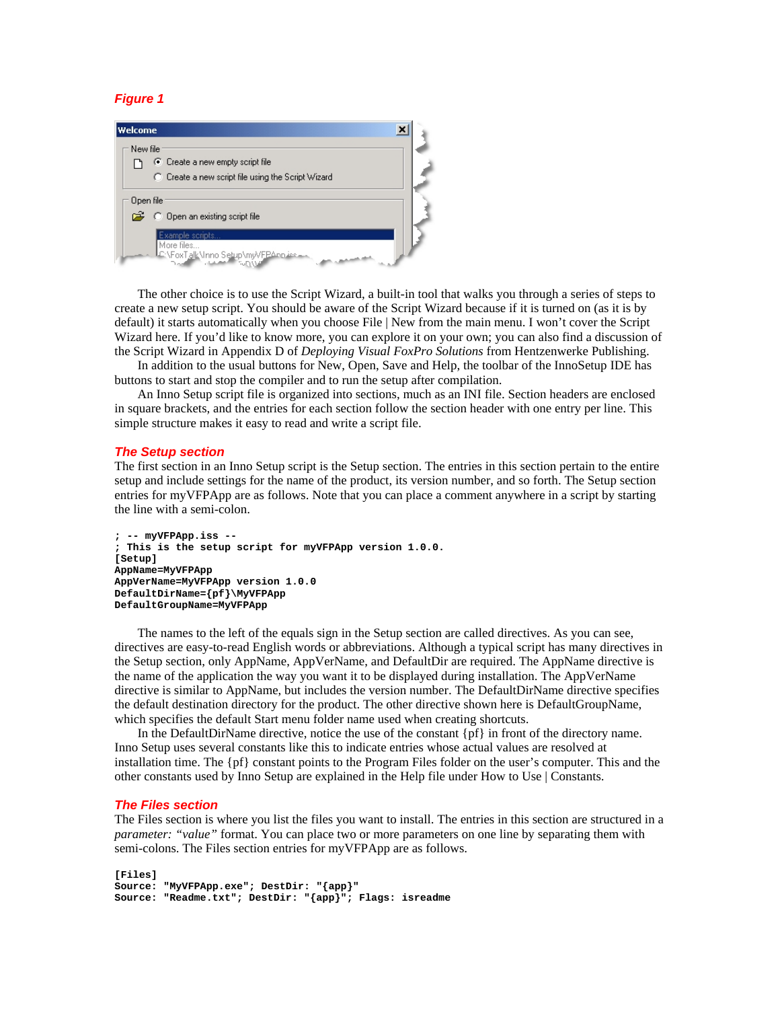# *Figure 1*



The other choice is to use the Script Wizard, a built-in tool that walks you through a series of steps to create a new setup script. You should be aware of the Script Wizard because if it is turned on (as it is by default) it starts automatically when you choose File | New from the main menu. I won't cover the Script Wizard here. If you'd like to know more, you can explore it on your own; you can also find a discussion of the Script Wizard in Appendix D of *Deploying Visual FoxPro Solutions* from Hentzenwerke Publishing.

In addition to the usual buttons for New, Open, Save and Help, the toolbar of the InnoSetup IDE has buttons to start and stop the compiler and to run the setup after compilation.

An Inno Setup script file is organized into sections, much as an INI file. Section headers are enclosed in square brackets, and the entries for each section follow the section header with one entry per line. This simple structure makes it easy to read and write a script file.

## *The Setup section*

The first section in an Inno Setup script is the Setup section. The entries in this section pertain to the entire setup and include settings for the name of the product, its version number, and so forth. The Setup section entries for myVFPApp are as follows. Note that you can place a comment anywhere in a script by starting the line with a semi-colon.

```
; -- myVFPApp.iss --
; This is the setup script for myVFPApp version 1.0.0.
[Setup]
AppName=MyVFPApp
AppVerName=MyVFPApp version 1.0.0
DefaultDirName={pf}\MyVFPApp
DefaultGroupName=MyVFPApp
```
The names to the left of the equals sign in the Setup section are called directives. As you can see, directives are easy-to-read English words or abbreviations. Although a typical script has many directives in the Setup section, only AppName, AppVerName, and DefaultDir are required. The AppName directive is the name of the application the way you want it to be displayed during installation. The AppVerName directive is similar to AppName, but includes the version number. The DefaultDirName directive specifies the default destination directory for the product. The other directive shown here is DefaultGroupName, which specifies the default Start menu folder name used when creating shortcuts.

In the DefaultDirName directive, notice the use of the constant {pf} in front of the directory name. Inno Setup uses several constants like this to indicate entries whose actual values are resolved at installation time. The {pf} constant points to the Program Files folder on the user's computer. This and the other constants used by Inno Setup are explained in the Help file under How to Use | Constants.

#### *The Files section*

The Files section is where you list the files you want to install. The entries in this section are structured in a *parameter: "value"* format. You can place two or more parameters on one line by separating them with semi-colons. The Files section entries for myVFPApp are as follows.

```
[Files]
Source: "MyVFPApp.exe"; DestDir: "{app}"
Source: "Readme.txt"; DestDir: "{app}"; Flags: isreadme
```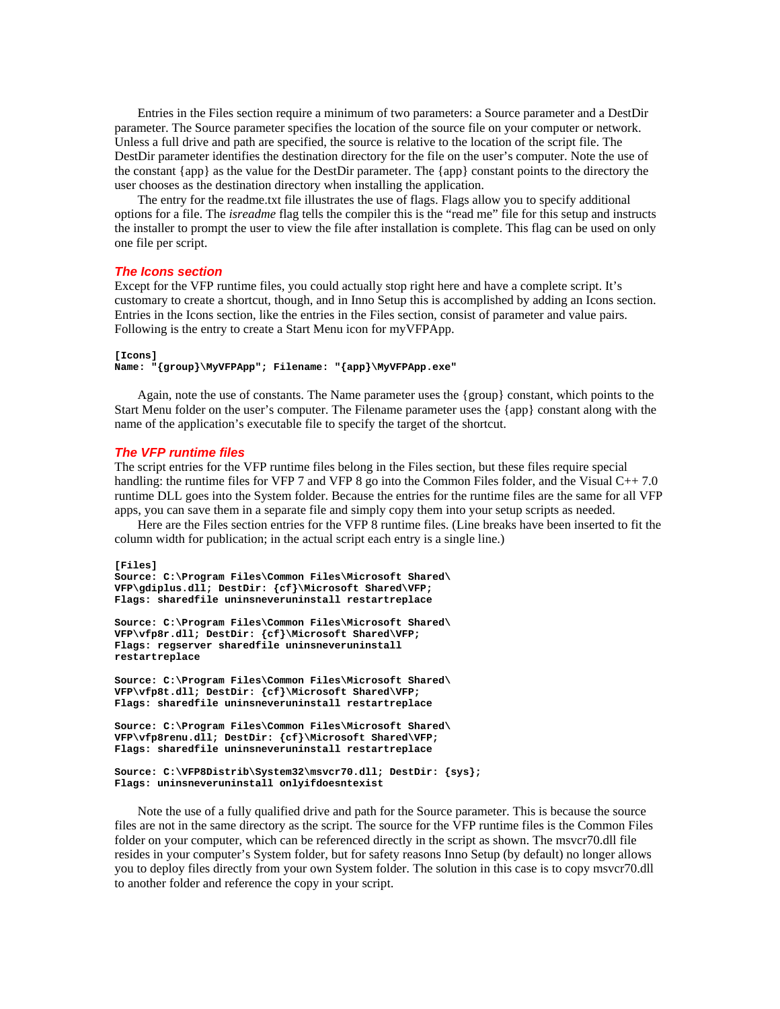Entries in the Files section require a minimum of two parameters: a Source parameter and a DestDir parameter. The Source parameter specifies the location of the source file on your computer or network. Unless a full drive and path are specified, the source is relative to the location of the script file. The DestDir parameter identifies the destination directory for the file on the user's computer. Note the use of the constant {app} as the value for the DestDir parameter. The {app} constant points to the directory the user chooses as the destination directory when installing the application.

The entry for the readme.txt file illustrates the use of flags. Flags allow you to specify additional options for a file. The *isreadme* flag tells the compiler this is the "read me" file for this setup and instructs the installer to prompt the user to view the file after installation is complete. This flag can be used on only one file per script.

#### *The Icons section*

Except for the VFP runtime files, you could actually stop right here and have a complete script. It's customary to create a shortcut, though, and in Inno Setup this is accomplished by adding an Icons section. Entries in the Icons section, like the entries in the Files section, consist of parameter and value pairs. Following is the entry to create a Start Menu icon for myVFPApp.

```
[Icons]
Name: "{group}\MyVFPApp"; Filename: "{app}\MyVFPApp.exe"
```
Again, note the use of constants. The Name parameter uses the {group} constant, which points to the Start Menu folder on the user's computer. The Filename parameter uses the {app} constant along with the name of the application's executable file to specify the target of the shortcut.

#### *The VFP runtime files*

The script entries for the VFP runtime files belong in the Files section, but these files require special handling: the runtime files for VFP 7 and VFP 8 go into the Common Files folder, and the Visual C++ 7.0 runtime DLL goes into the System folder. Because the entries for the runtime files are the same for all VFP apps, you can save them in a separate file and simply copy them into your setup scripts as needed.

Here are the Files section entries for the VFP 8 runtime files. (Line breaks have been inserted to fit the column width for publication; in the actual script each entry is a single line.)

```
[Files]
Source: C:\Program Files\Common Files\Microsoft Shared\
VFP\gdiplus.dll; DestDir: {cf}\Microsoft Shared\VFP; 
Flags: sharedfile uninsneveruninstall restartreplace
Source: C:\Program Files\Common Files\Microsoft Shared\
VFP\vfp8r.dll; DestDir: {cf}\Microsoft Shared\VFP; 
Flags: regserver sharedfile uninsneveruninstall 
restartreplace
Source: C:\Program Files\Common Files\Microsoft Shared\
VFP\vfp8t.dll; DestDir: {cf}\Microsoft Shared\VFP; 
Flags: sharedfile uninsneveruninstall restartreplace
Source: C:\Program Files\Common Files\Microsoft Shared\
VFP\vfp8renu.dll; DestDir: {cf}\Microsoft Shared\VFP;
```

```
Flags: sharedfile uninsneveruninstall restartreplace
```

```
Source: C:\VFP8Distrib\System32\msvcr70.dll; DestDir: {sys};
Flags: uninsneveruninstall onlyifdoesntexist
```
Note the use of a fully qualified drive and path for the Source parameter. This is because the source files are not in the same directory as the script. The source for the VFP runtime files is the Common Files folder on your computer, which can be referenced directly in the script as shown. The msvcr70.dll file resides in your computer's System folder, but for safety reasons Inno Setup (by default) no longer allows you to deploy files directly from your own System folder. The solution in this case is to copy msvcr70.dll to another folder and reference the copy in your script.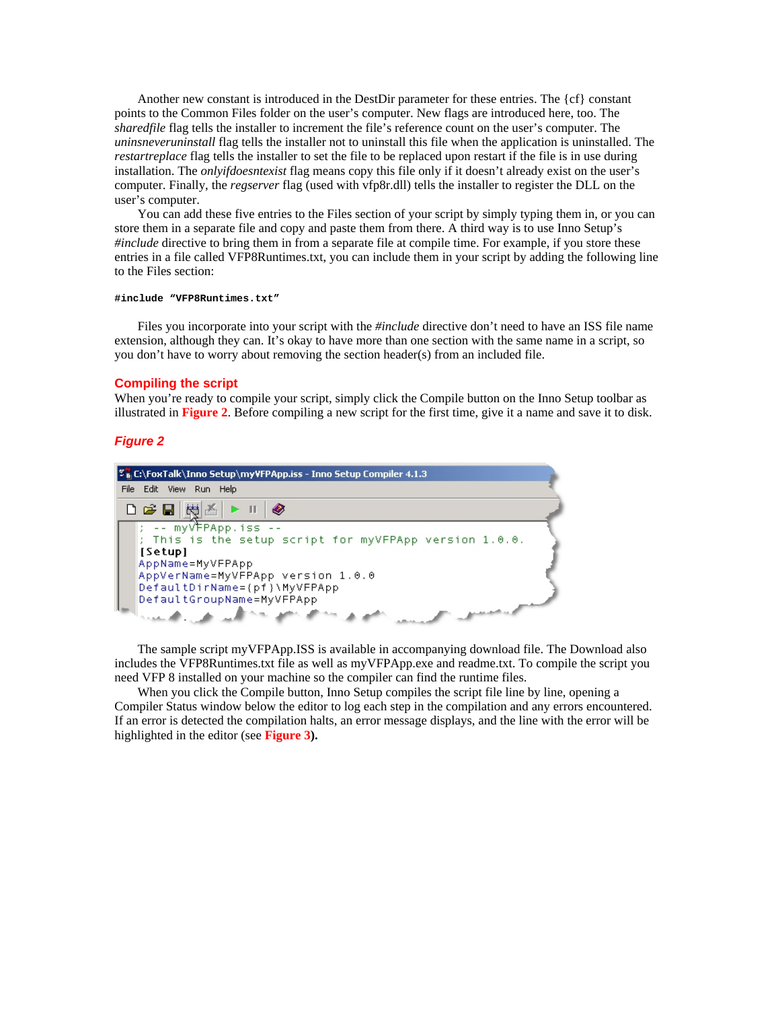Another new constant is introduced in the DestDir parameter for these entries. The {cf} constant points to the Common Files folder on the user's computer. New flags are introduced here, too. The *sharedfile* flag tells the installer to increment the file's reference count on the user's computer. The *uninsneveruninstall* flag tells the installer not to uninstall this file when the application is uninstalled. The *restartreplace* flag tells the installer to set the file to be replaced upon restart if the file is in use during installation. The *onlyifdoesntexist* flag means copy this file only if it doesn't already exist on the user's computer. Finally, the *regserver* flag (used with vfp8r.dll) tells the installer to register the DLL on the user's computer.

You can add these five entries to the Files section of your script by simply typing them in, or you can store them in a separate file and copy and paste them from there. A third way is to use Inno Setup's *#include* directive to bring them in from a separate file at compile time. For example, if you store these entries in a file called VFP8Runtimes.txt, you can include them in your script by adding the following line to the Files section:

#### **#include "VFP8Runtimes.txt"**

Files you incorporate into your script with the *#include* directive don't need to have an ISS file name extension, although they can. It's okay to have more than one section with the same name in a script, so you don't have to worry about removing the section header(s) from an included file.

#### **Compiling the script**

When you're ready to compile your script, simply click the Compile button on the Inno Setup toolbar as illustrated in **Figure 2**. Before compiling a new script for the first time, give it a name and save it to disk.

# *Figure 2*



The sample script myVFPApp.ISS is available in accompanying download file. The Download also includes the VFP8Runtimes.txt file as well as myVFPApp.exe and readme.txt. To compile the script you need VFP 8 installed on your machine so the compiler can find the runtime files.

When you click the Compile button, Inno Setup compiles the script file line by line, opening a Compiler Status window below the editor to log each step in the compilation and any errors encountered. If an error is detected the compilation halts, an error message displays, and the line with the error will be highlighted in the editor (see **Figure 3).**